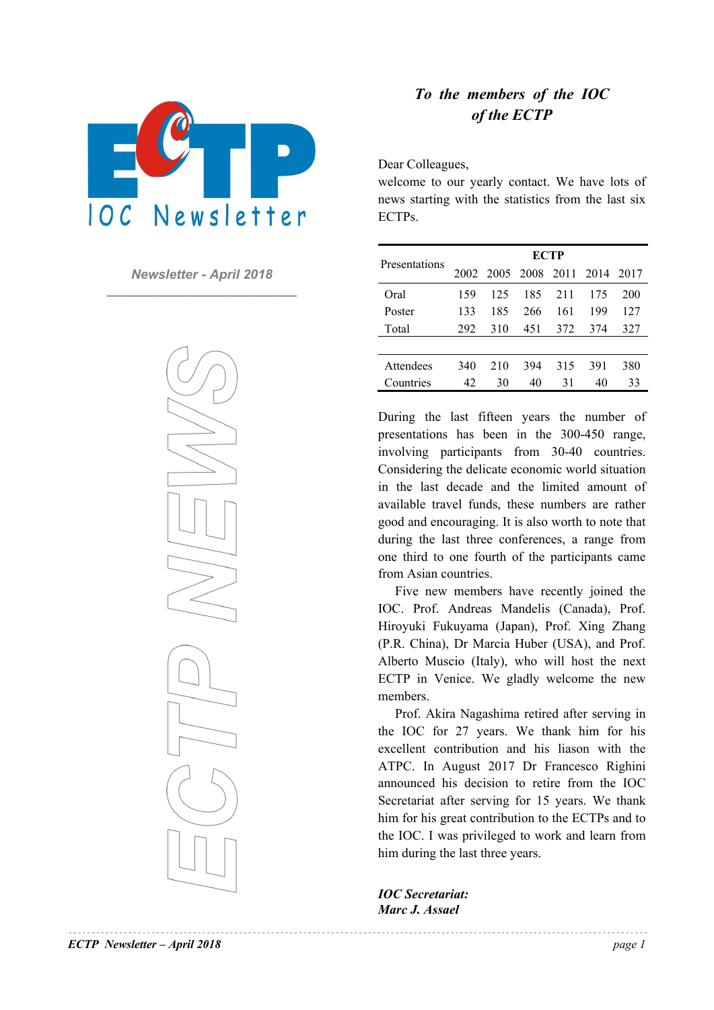

*Newsletter - April 2018*  **\_\_\_\_\_\_\_\_\_\_\_\_\_\_\_\_\_\_\_\_\_\_\_\_\_\_\_\_\_** 



# *To the members of the IOC of the ECTP*

Dear Colleagues,

welcome to our yearly contact. We have lots of news starting with the statistics from the last six ECTPs.

|                  | <b>ECTP</b> |     |     |     |                               |     |
|------------------|-------------|-----|-----|-----|-------------------------------|-----|
| Presentations    |             |     |     |     | 2002 2005 2008 2011 2014 2017 |     |
| Oral             | 159         | 125 | 185 | 211 | 175                           | 200 |
| Poster           | 133         | 185 | 266 | 161 | 199                           | 127 |
| Total            | 292         | 310 | 451 | 372 | 374                           | 327 |
|                  |             |     |     |     |                               |     |
| <b>Attendees</b> | 340         | 210 | 394 | 315 | 391                           | 380 |
| Countries        | 42          | 30  | 40  | 31  | 40                            | 33  |

During the last fifteen years the number of presentations has been in the 300-450 range, involving participants from 30-40 countries. Considering the delicate economic world situation in the last decade and the limited amount of available travel funds, these numbers are rather good and encouraging. It is also worth to note that during the last three conferences, a range from one third to one fourth of the participants came from Asian countries.

Five new members have recently joined the IOC. Prof. Andreas Mandelis (Canada), Prof. Hiroyuki Fukuyama (Japan), Prof. Xing Zhang (P.R. China), Dr Marcia Huber (USA), and Prof. Alberto Muscio (Italy), who will host the next ECTP in Venice. We gladly welcome the new members.

Prof. Akira Nagashima retired after serving in the IOC for 27 years. We thank him for his excellent contribution and his liason with the ATPC. In August 2017 Dr Francesco Righini announced his decision to retire from the IOC Secretariat after serving for 15 years. We thank him for his great contribution to the ECTPs and to the IOC. I was privileged to work and learn from him during the last three years.

*IOC Secretariat: Marc J. Assael*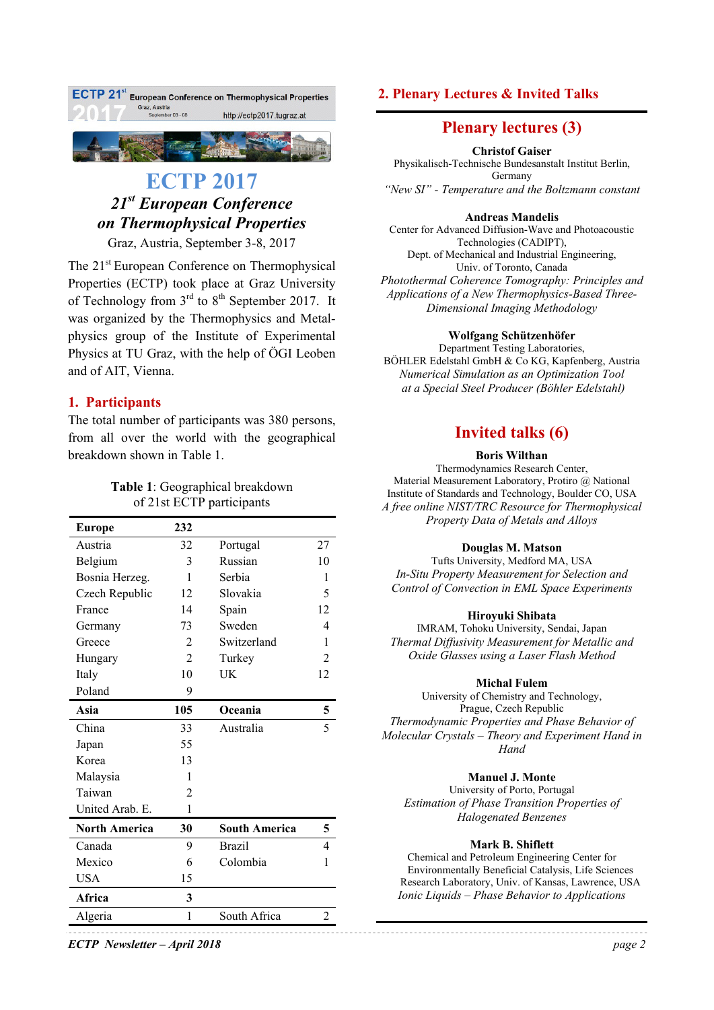

# **ECTP 2017**  *21st European Conference on Thermophysical Properties*

Graz, Austria, September 3-8, 2017

The 21<sup>st</sup> European Conference on Thermophysical Properties (ECTP) took place at Graz University of Technology from  $3<sup>rd</sup>$  to  $8<sup>th</sup>$  September 2017. It was organized by the Thermophysics and Metalphysics group of the Institute of Experimental Physics at TU Graz, with the help of ÖGI Leoben and of AIT, Vienna.

### **1. Participants**

The total number of participants was 380 persons, from all over the world with the geographical breakdown shown in Table 1.

> **Table 1**: Geographical breakdown of 21st ECTP participants

| <b>Europe</b>        | 232            |                      |             |
|----------------------|----------------|----------------------|-------------|
| Austria              | 32             | Portugal             | 27          |
| Belgium              | 3              | Russian              | 10          |
| Bosnia Herzeg.       | 1              | Serbia               | L           |
| Czech Republic       | 12             | Slovakia             | $\varsigma$ |
| France               | 14             | Spain                | 12          |
| Germany              | 73             | Sweden               | 4           |
| Greece               | 2              | Switzerland          | 1           |
| Hungary              | $\overline{2}$ | Turkey               | 2           |
| Italy                | 10             | UK                   | 12          |
| Poland               | 9              |                      |             |
| Asia                 | 105            | Oceania              | 5           |
| China                | 33             | Australia            | 5           |
| Japan                | 55             |                      |             |
| Korea                | 13             |                      |             |
| Malaysia             | 1              |                      |             |
| Taiwan               | $\mathfrak{D}$ |                      |             |
| United Arab. E.      | $\mathbf{1}$   |                      |             |
| <b>North America</b> | 30             | <b>South America</b> | 5           |
| Canada               | 9              | <b>Brazil</b>        | 4           |
| Mexico               | 6              | Colombia             | 1           |
| <b>USA</b>           | 15             |                      |             |
| Africa               | 3              |                      |             |
| Algeria              | 1              | South Africa         | 2           |

# *ECTP Newsletter – April 2018 page 2*

### **2. Plenary Lectures & Invited Talks**

## **Plenary lectures (3)**

**Christof Gaiser** 

Physikalisch-Technische Bundesanstalt Institut Berlin, Germany *"New SI" - Temperature and the Boltzmann constant* 

#### **Andreas Mandelis**

Center for Advanced Diffusion-Wave and Photoacoustic Technologies (CADIPT), Dept. of Mechanical and Industrial Engineering, Univ. of Toronto, Canada *Photothermal Coherence Tomography: Principles and Applications of a New Thermophysics-Based Three-Dimensional Imaging Methodology* 

#### **Wolfgang Schützenhöfer**

Department Testing Laboratories, BÖHLER Edelstahl GmbH & Co KG, Kapfenberg, Austria *Numerical Simulation as an Optimization Tool at a Special Steel Producer (Böhler Edelstahl)* 

# **Invited talks (6)**

#### **Boris Wilthan**

Thermodynamics Research Center, Material Measurement Laboratory, Protiro @ National Institute of Standards and Technology, Boulder CO, USA *A free online NIST/TRC Resource for Thermophysical Property Data of Metals and Alloys* 

#### **Douglas M. Matson**

Tufts University, Medford MA, USA *In-Situ Property Measurement for Selection and Control of Convection in EML Space Experiments* 

#### **Hiroyuki Shibata**

IMRAM, Tohoku University, Sendai, Japan *Thermal Diffusivity Measurement for Metallic and Oxide Glasses using a Laser Flash Method* 

#### **Michal Fulem**

University of Chemistry and Technology, Prague, Czech Republic *Thermodynamic Properties and Phase Behavior of Molecular Crystals – Theory and Experiment Hand in Hand* 

#### **Manuel J. Monte**

University of Porto, Portugal *Estimation of Phase Transition Properties of Halogenated Benzenes* 

#### **Mark B. Shiflett**

Chemical and Petroleum Engineering Center for Environmentally Beneficial Catalysis, Life Sciences Research Laboratory, Univ. of Kansas, Lawrence, USA *Ionic Liquids – Phase Behavior to Applications*